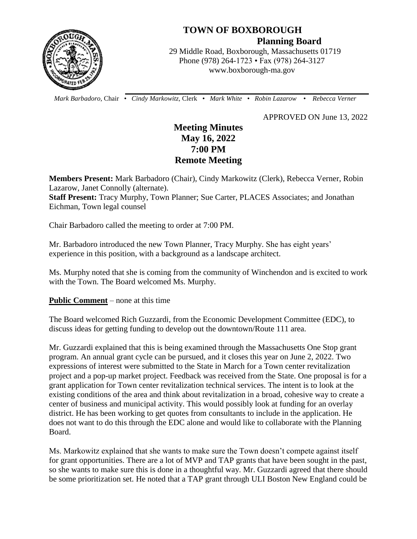

## **TOWN OF BOXBOROUGH Planning Board**

 29 Middle Road, Boxborough, Massachusetts 01719 Phone (978) 264-1723 • Fax (978) 264-3127 www.boxborough-ma.gov

 *Mark Barbadoro*, Chair • *Cindy Markowitz,* Clerk • *Mark White* • *Robin Lazarow* • *Rebecca Verner*

APPROVED ON June 13, 2022

# **Meeting Minutes May 16, 2022 7:00 PM Remote Meeting**

**Members Present:** Mark Barbadoro (Chair), Cindy Markowitz (Clerk), Rebecca Verner, Robin Lazarow, Janet Connolly (alternate).

**Staff Present:** Tracy Murphy, Town Planner; Sue Carter, PLACES Associates; and Jonathan Eichman, Town legal counsel

Chair Barbadoro called the meeting to order at 7:00 PM.

Mr. Barbadoro introduced the new Town Planner, Tracy Murphy. She has eight years' experience in this position, with a background as a landscape architect.

Ms. Murphy noted that she is coming from the community of Winchendon and is excited to work with the Town. The Board welcomed Ms. Murphy.

**Public Comment** – none at this time

The Board welcomed Rich Guzzardi, from the Economic Development Committee (EDC), to discuss ideas for getting funding to develop out the downtown/Route 111 area.

Mr. Guzzardi explained that this is being examined through the Massachusetts One Stop grant program. An annual grant cycle can be pursued, and it closes this year on June 2, 2022. Two expressions of interest were submitted to the State in March for a Town center revitalization project and a pop-up market project. Feedback was received from the State. One proposal is for a grant application for Town center revitalization technical services. The intent is to look at the existing conditions of the area and think about revitalization in a broad, cohesive way to create a center of business and municipal activity. This would possibly look at funding for an overlay district. He has been working to get quotes from consultants to include in the application. He does not want to do this through the EDC alone and would like to collaborate with the Planning Board.

Ms. Markowitz explained that she wants to make sure the Town doesn't compete against itself for grant opportunities. There are a lot of MVP and TAP grants that have been sought in the past, so she wants to make sure this is done in a thoughtful way. Mr. Guzzardi agreed that there should be some prioritization set. He noted that a TAP grant through ULI Boston New England could be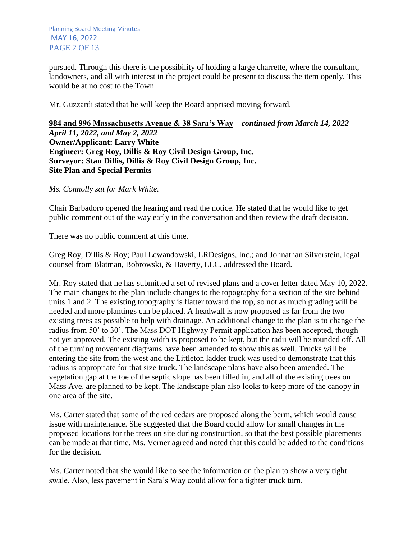pursued. Through this there is the possibility of holding a large charrette, where the consultant, landowners, and all with interest in the project could be present to discuss the item openly. This would be at no cost to the Town.

Mr. Guzzardi stated that he will keep the Board apprised moving forward.

### **984 and 996 Massachusetts Avenue & 38 Sara's Way –** *continued from March 14, 2022 April 11, 2022, and May 2, 2022* **Owner/Applicant: Larry White Engineer: Greg Roy, Dillis & Roy Civil Design Group, Inc. Surveyor: Stan Dillis, Dillis & Roy Civil Design Group, Inc. Site Plan and Special Permits**

*Ms. Connolly sat for Mark White.*

Chair Barbadoro opened the hearing and read the notice. He stated that he would like to get public comment out of the way early in the conversation and then review the draft decision.

There was no public comment at this time.

Greg Roy, Dillis & Roy; Paul Lewandowski, LRDesigns, Inc.; and Johnathan Silverstein, legal counsel from Blatman, Bobrowski, & Haverty, LLC, addressed the Board.

Mr. Roy stated that he has submitted a set of revised plans and a cover letter dated May 10, 2022. The main changes to the plan include changes to the topography for a section of the site behind units 1 and 2. The existing topography is flatter toward the top, so not as much grading will be needed and more plantings can be placed. A headwall is now proposed as far from the two existing trees as possible to help with drainage. An additional change to the plan is to change the radius from 50' to 30'. The Mass DOT Highway Permit application has been accepted, though not yet approved. The existing width is proposed to be kept, but the radii will be rounded off. All of the turning movement diagrams have been amended to show this as well. Trucks will be entering the site from the west and the Littleton ladder truck was used to demonstrate that this radius is appropriate for that size truck. The landscape plans have also been amended. The vegetation gap at the toe of the septic slope has been filled in, and all of the existing trees on Mass Ave. are planned to be kept. The landscape plan also looks to keep more of the canopy in one area of the site.

Ms. Carter stated that some of the red cedars are proposed along the berm, which would cause issue with maintenance. She suggested that the Board could allow for small changes in the proposed locations for the trees on site during construction, so that the best possible placements can be made at that time. Ms. Verner agreed and noted that this could be added to the conditions for the decision.

Ms. Carter noted that she would like to see the information on the plan to show a very tight swale. Also, less pavement in Sara's Way could allow for a tighter truck turn.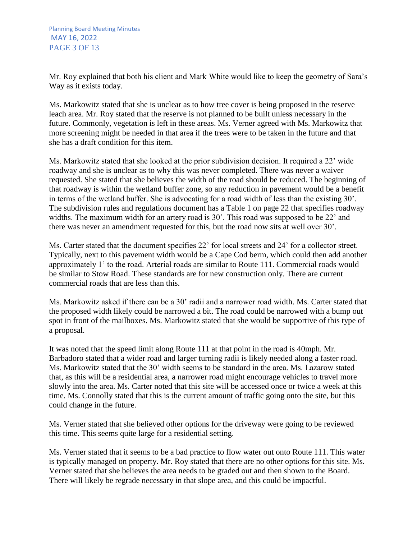Mr. Roy explained that both his client and Mark White would like to keep the geometry of Sara's Way as it exists today.

Ms. Markowitz stated that she is unclear as to how tree cover is being proposed in the reserve leach area. Mr. Roy stated that the reserve is not planned to be built unless necessary in the future. Commonly, vegetation is left in these areas. Ms. Verner agreed with Ms. Markowitz that more screening might be needed in that area if the trees were to be taken in the future and that she has a draft condition for this item.

Ms. Markowitz stated that she looked at the prior subdivision decision. It required a 22' wide roadway and she is unclear as to why this was never completed. There was never a waiver requested. She stated that she believes the width of the road should be reduced. The beginning of that roadway is within the wetland buffer zone, so any reduction in pavement would be a benefit in terms of the wetland buffer. She is advocating for a road width of less than the existing 30'. The subdivision rules and regulations document has a Table 1 on page 22 that specifies roadway widths. The maximum width for an artery road is 30'. This road was supposed to be 22' and there was never an amendment requested for this, but the road now sits at well over 30'.

Ms. Carter stated that the document specifies 22' for local streets and 24' for a collector street. Typically, next to this pavement width would be a Cape Cod berm, which could then add another approximately 1' to the road. Arterial roads are similar to Route 111. Commercial roads would be similar to Stow Road. These standards are for new construction only. There are current commercial roads that are less than this.

Ms. Markowitz asked if there can be a 30' radii and a narrower road width. Ms. Carter stated that the proposed width likely could be narrowed a bit. The road could be narrowed with a bump out spot in front of the mailboxes. Ms. Markowitz stated that she would be supportive of this type of a proposal.

It was noted that the speed limit along Route 111 at that point in the road is 40mph. Mr. Barbadoro stated that a wider road and larger turning radii is likely needed along a faster road. Ms. Markowitz stated that the 30' width seems to be standard in the area. Ms. Lazarow stated that, as this will be a residential area, a narrower road might encourage vehicles to travel more slowly into the area. Ms. Carter noted that this site will be accessed once or twice a week at this time. Ms. Connolly stated that this is the current amount of traffic going onto the site, but this could change in the future.

Ms. Verner stated that she believed other options for the driveway were going to be reviewed this time. This seems quite large for a residential setting.

Ms. Verner stated that it seems to be a bad practice to flow water out onto Route 111. This water is typically managed on property. Mr. Roy stated that there are no other options for this site. Ms. Verner stated that she believes the area needs to be graded out and then shown to the Board. There will likely be regrade necessary in that slope area, and this could be impactful.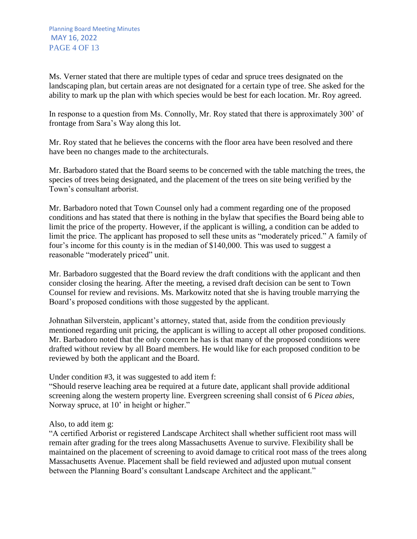Ms. Verner stated that there are multiple types of cedar and spruce trees designated on the landscaping plan, but certain areas are not designated for a certain type of tree. She asked for the ability to mark up the plan with which species would be best for each location. Mr. Roy agreed.

In response to a question from Ms. Connolly, Mr. Roy stated that there is approximately 300' of frontage from Sara's Way along this lot.

Mr. Roy stated that he believes the concerns with the floor area have been resolved and there have been no changes made to the architecturals.

Mr. Barbadoro stated that the Board seems to be concerned with the table matching the trees, the species of trees being designated, and the placement of the trees on site being verified by the Town's consultant arborist.

Mr. Barbadoro noted that Town Counsel only had a comment regarding one of the proposed conditions and has stated that there is nothing in the bylaw that specifies the Board being able to limit the price of the property. However, if the applicant is willing, a condition can be added to limit the price. The applicant has proposed to sell these units as "moderately priced." A family of four's income for this county is in the median of \$140,000. This was used to suggest a reasonable "moderately priced" unit.

Mr. Barbadoro suggested that the Board review the draft conditions with the applicant and then consider closing the hearing. After the meeting, a revised draft decision can be sent to Town Counsel for review and revisions. Ms. Markowitz noted that she is having trouble marrying the Board's proposed conditions with those suggested by the applicant.

Johnathan Silverstein, applicant's attorney, stated that, aside from the condition previously mentioned regarding unit pricing, the applicant is willing to accept all other proposed conditions. Mr. Barbadoro noted that the only concern he has is that many of the proposed conditions were drafted without review by all Board members. He would like for each proposed condition to be reviewed by both the applicant and the Board.

Under condition #3, it was suggested to add item f:

"Should reserve leaching area be required at a future date, applicant shall provide additional screening along the western property line. Evergreen screening shall consist of 6 *Picea abies*, Norway spruce, at 10' in height or higher."

### Also, to add item g:

"A certified Arborist or registered Landscape Architect shall whether sufficient root mass will remain after grading for the trees along Massachusetts Avenue to survive. Flexibility shall be maintained on the placement of screening to avoid damage to critical root mass of the trees along Massachusetts Avenue. Placement shall be field reviewed and adjusted upon mutual consent between the Planning Board's consultant Landscape Architect and the applicant."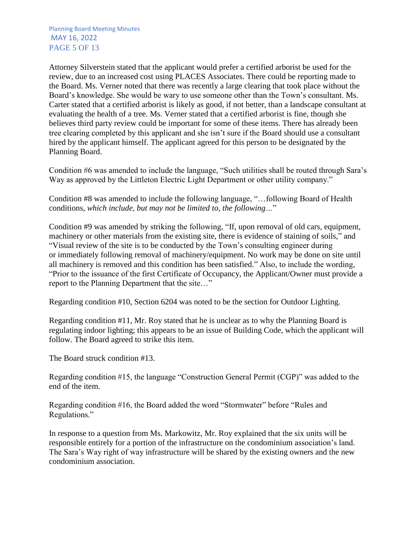Attorney Silverstein stated that the applicant would prefer a certified arborist be used for the review, due to an increased cost using PLACES Associates. There could be reporting made to the Board. Ms. Verner noted that there was recently a large clearing that took place without the Board's knowledge. She would be wary to use someone other than the Town's consultant. Ms. Carter stated that a certified arborist is likely as good, if not better, than a landscape consultant at evaluating the health of a tree. Ms. Verner stated that a certified arborist is fine, though she believes third party review could be important for some of these items. There has already been tree clearing completed by this applicant and she isn't sure if the Board should use a consultant hired by the applicant himself. The applicant agreed for this person to be designated by the Planning Board.

Condition #6 was amended to include the language, "Such utilities shall be routed through Sara's Way as approved by the Littleton Electric Light Department or other utility company."

Condition #8 was amended to include the following language, "…following Board of Health conditions, *which include, but may not be limited to, the following…*"

Condition #9 was amended by striking the following, "If, upon removal of old cars, equipment, machinery or other materials from the existing site, there is evidence of staining of soils," and "Visual review of the site is to be conducted by the Town's consulting engineer during or immediately following removal of machinery/equipment. No work may be done on site until all machinery is removed and this condition has been satisfied." Also, to include the wording, "Prior to the issuance of the first Certificate of Occupancy, the Applicant/Owner must provide a report to the Planning Department that the site…"

Regarding condition #10, Section 6204 was noted to be the section for Outdoor Lighting.

Regarding condition #11, Mr. Roy stated that he is unclear as to why the Planning Board is regulating indoor lighting; this appears to be an issue of Building Code, which the applicant will follow. The Board agreed to strike this item.

The Board struck condition #13.

Regarding condition #15, the language "Construction General Permit (CGP)" was added to the end of the item.

Regarding condition #16, the Board added the word "Stormwater" before "Rules and Regulations."

In response to a question from Ms. Markowitz, Mr. Roy explained that the six units will be responsible entirely for a portion of the infrastructure on the condominium association's land. The Sara's Way right of way infrastructure will be shared by the existing owners and the new condominium association.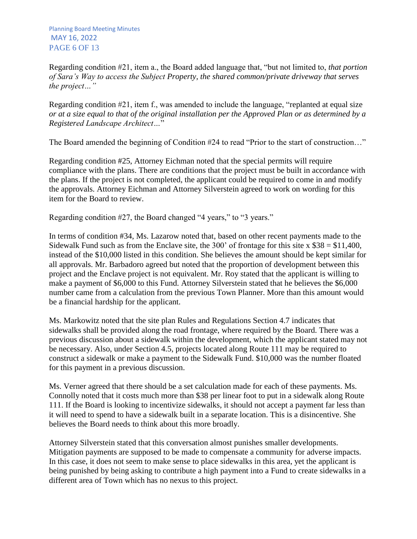Regarding condition #21, item a., the Board added language that, "but not limited to, *that portion of Sara's Way to access the Subject Property, the shared common/private driveway that serves the project…"*

Regarding condition #21, item f., was amended to include the language, "replanted at equal size *or at a size equal to that of the original installation per the Approved Plan or as determined by a Registered Landscape Architect…*"

The Board amended the beginning of Condition #24 to read "Prior to the start of construction..."

Regarding condition #25, Attorney Eichman noted that the special permits will require compliance with the plans. There are conditions that the project must be built in accordance with the plans. If the project is not completed, the applicant could be required to come in and modify the approvals. Attorney Eichman and Attorney Silverstein agreed to work on wording for this item for the Board to review.

Regarding condition #27, the Board changed "4 years," to "3 years."

In terms of condition #34, Ms. Lazarow noted that, based on other recent payments made to the Sidewalk Fund such as from the Enclave site, the 300' of frontage for this site  $x $38 = $11,400$ , instead of the \$10,000 listed in this condition. She believes the amount should be kept similar for all approvals. Mr. Barbadoro agreed but noted that the proportion of development between this project and the Enclave project is not equivalent. Mr. Roy stated that the applicant is willing to make a payment of \$6,000 to this Fund. Attorney Silverstein stated that he believes the \$6,000 number came from a calculation from the previous Town Planner. More than this amount would be a financial hardship for the applicant.

Ms. Markowitz noted that the site plan Rules and Regulations Section 4.7 indicates that sidewalks shall be provided along the road frontage, where required by the Board. There was a previous discussion about a sidewalk within the development, which the applicant stated may not be necessary. Also, under Section 4.5, projects located along Route 111 may be required to construct a sidewalk or make a payment to the Sidewalk Fund. \$10,000 was the number floated for this payment in a previous discussion.

Ms. Verner agreed that there should be a set calculation made for each of these payments. Ms. Connolly noted that it costs much more than \$38 per linear foot to put in a sidewalk along Route 111. If the Board is looking to incentivize sidewalks, it should not accept a payment far less than it will need to spend to have a sidewalk built in a separate location. This is a disincentive. She believes the Board needs to think about this more broadly.

Attorney Silverstein stated that this conversation almost punishes smaller developments. Mitigation payments are supposed to be made to compensate a community for adverse impacts. In this case, it does not seem to make sense to place sidewalks in this area, yet the applicant is being punished by being asking to contribute a high payment into a Fund to create sidewalks in a different area of Town which has no nexus to this project.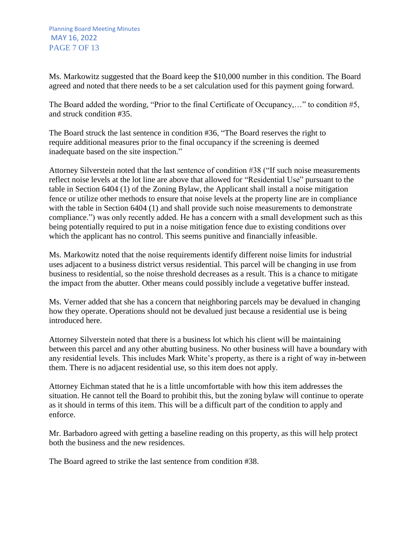Ms. Markowitz suggested that the Board keep the \$10,000 number in this condition. The Board agreed and noted that there needs to be a set calculation used for this payment going forward.

The Board added the wording, "Prior to the final Certificate of Occupancy,…" to condition #5, and struck condition #35.

The Board struck the last sentence in condition #36, "The Board reserves the right to require additional measures prior to the final occupancy if the screening is deemed inadequate based on the site inspection."

Attorney Silverstein noted that the last sentence of condition #38 ("If such noise measurements reflect noise levels at the lot line are above that allowed for "Residential Use" pursuant to the table in Section 6404 (1) of the Zoning Bylaw, the Applicant shall install a noise mitigation fence or utilize other methods to ensure that noise levels at the property line are in compliance with the table in Section 6404 (1) and shall provide such noise measurements to demonstrate compliance.") was only recently added. He has a concern with a small development such as this being potentially required to put in a noise mitigation fence due to existing conditions over which the applicant has no control. This seems punitive and financially infeasible.

Ms. Markowitz noted that the noise requirements identify different noise limits for industrial uses adjacent to a business district versus residential. This parcel will be changing in use from business to residential, so the noise threshold decreases as a result. This is a chance to mitigate the impact from the abutter. Other means could possibly include a vegetative buffer instead.

Ms. Verner added that she has a concern that neighboring parcels may be devalued in changing how they operate. Operations should not be devalued just because a residential use is being introduced here.

Attorney Silverstein noted that there is a business lot which his client will be maintaining between this parcel and any other abutting business. No other business will have a boundary with any residential levels. This includes Mark White's property, as there is a right of way in-between them. There is no adjacent residential use, so this item does not apply.

Attorney Eichman stated that he is a little uncomfortable with how this item addresses the situation. He cannot tell the Board to prohibit this, but the zoning bylaw will continue to operate as it should in terms of this item. This will be a difficult part of the condition to apply and enforce.

Mr. Barbadoro agreed with getting a baseline reading on this property, as this will help protect both the business and the new residences.

The Board agreed to strike the last sentence from condition #38.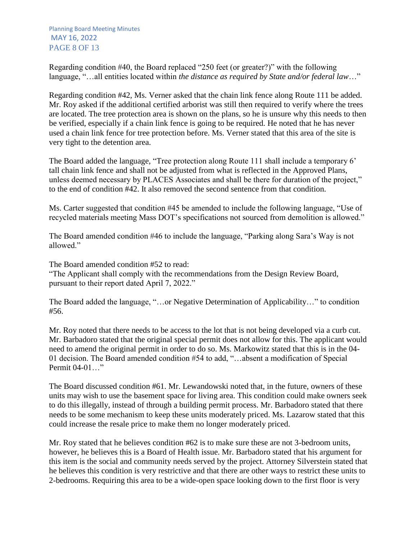Planning Board Meeting Minutes MAY 16, 2022 PAGE 8 OF 13

Regarding condition #40, the Board replaced "250 feet (or greater?)" with the following language, "…all entities located within *the distance as required by State and/or federal law*…"

Regarding condition #42, Ms. Verner asked that the chain link fence along Route 111 be added. Mr. Roy asked if the additional certified arborist was still then required to verify where the trees are located. The tree protection area is shown on the plans, so he is unsure why this needs to then be verified, especially if a chain link fence is going to be required. He noted that he has never used a chain link fence for tree protection before. Ms. Verner stated that this area of the site is very tight to the detention area.

The Board added the language, "Tree protection along Route 111 shall include a temporary 6' tall chain link fence and shall not be adjusted from what is reflected in the Approved Plans, unless deemed necessary by PLACES Associates and shall be there for duration of the project," to the end of condition #42. It also removed the second sentence from that condition.

Ms. Carter suggested that condition #45 be amended to include the following language, "Use of recycled materials meeting Mass DOT's specifications not sourced from demolition is allowed."

The Board amended condition #46 to include the language, "Parking along Sara's Way is not allowed."

The Board amended condition #52 to read: "The Applicant shall comply with the recommendations from the Design Review Board, pursuant to their report dated April 7, 2022."

The Board added the language, "…or Negative Determination of Applicability…" to condition #56.

Mr. Roy noted that there needs to be access to the lot that is not being developed via a curb cut. Mr. Barbadoro stated that the original special permit does not allow for this. The applicant would need to amend the original permit in order to do so. Ms. Markowitz stated that this is in the 04- 01 decision. The Board amended condition #54 to add, "…absent a modification of Special Permit 04-01…"

The Board discussed condition #61. Mr. Lewandowski noted that, in the future, owners of these units may wish to use the basement space for living area. This condition could make owners seek to do this illegally, instead of through a building permit process. Mr. Barbadoro stated that there needs to be some mechanism to keep these units moderately priced. Ms. Lazarow stated that this could increase the resale price to make them no longer moderately priced.

Mr. Roy stated that he believes condition #62 is to make sure these are not 3-bedroom units, however, he believes this is a Board of Health issue. Mr. Barbadoro stated that his argument for this item is the social and community needs served by the project. Attorney Silverstein stated that he believes this condition is very restrictive and that there are other ways to restrict these units to 2-bedrooms. Requiring this area to be a wide-open space looking down to the first floor is very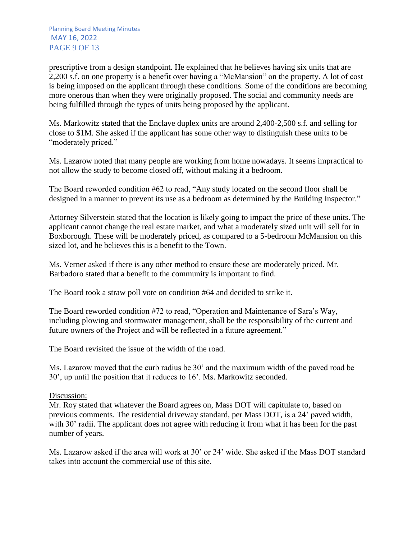prescriptive from a design standpoint. He explained that he believes having six units that are 2,200 s.f. on one property is a benefit over having a "McMansion" on the property. A lot of cost is being imposed on the applicant through these conditions. Some of the conditions are becoming more onerous than when they were originally proposed. The social and community needs are being fulfilled through the types of units being proposed by the applicant.

Ms. Markowitz stated that the Enclave duplex units are around 2,400-2,500 s.f. and selling for close to \$1M. She asked if the applicant has some other way to distinguish these units to be "moderately priced."

Ms. Lazarow noted that many people are working from home nowadays. It seems impractical to not allow the study to become closed off, without making it a bedroom.

The Board reworded condition #62 to read, "Any study located on the second floor shall be designed in a manner to prevent its use as a bedroom as determined by the Building Inspector."

Attorney Silverstein stated that the location is likely going to impact the price of these units. The applicant cannot change the real estate market, and what a moderately sized unit will sell for in Boxborough. These will be moderately priced, as compared to a 5-bedroom McMansion on this sized lot, and he believes this is a benefit to the Town.

Ms. Verner asked if there is any other method to ensure these are moderately priced. Mr. Barbadoro stated that a benefit to the community is important to find.

The Board took a straw poll vote on condition #64 and decided to strike it.

The Board reworded condition #72 to read, "Operation and Maintenance of Sara's Way, including plowing and stormwater management, shall be the responsibility of the current and future owners of the Project and will be reflected in a future agreement."

The Board revisited the issue of the width of the road.

Ms. Lazarow moved that the curb radius be 30' and the maximum width of the paved road be 30', up until the position that it reduces to 16'. Ms. Markowitz seconded.

#### Discussion:

Mr. Roy stated that whatever the Board agrees on, Mass DOT will capitulate to, based on previous comments. The residential driveway standard, per Mass DOT, is a 24' paved width, with 30' radii. The applicant does not agree with reducing it from what it has been for the past number of years.

Ms. Lazarow asked if the area will work at 30' or 24' wide. She asked if the Mass DOT standard takes into account the commercial use of this site.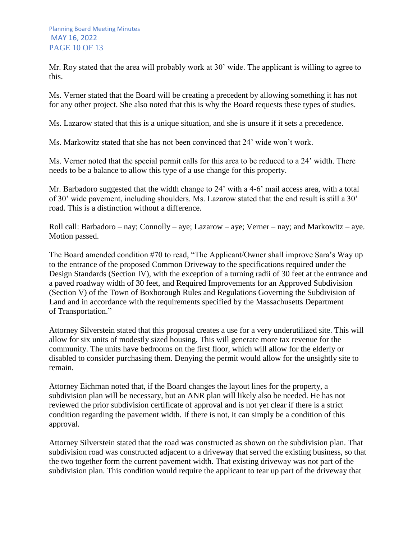Mr. Roy stated that the area will probably work at 30' wide. The applicant is willing to agree to this.

Ms. Verner stated that the Board will be creating a precedent by allowing something it has not for any other project. She also noted that this is why the Board requests these types of studies.

Ms. Lazarow stated that this is a unique situation, and she is unsure if it sets a precedence.

Ms. Markowitz stated that she has not been convinced that 24' wide won't work.

Ms. Verner noted that the special permit calls for this area to be reduced to a 24' width. There needs to be a balance to allow this type of a use change for this property.

Mr. Barbadoro suggested that the width change to 24' with a 4-6' mail access area, with a total of 30' wide pavement, including shoulders. Ms. Lazarow stated that the end result is still a 30' road. This is a distinction without a difference.

Roll call: Barbadoro – nay; Connolly – aye; Lazarow – aye; Verner – nay; and Markowitz – aye. Motion passed.

The Board amended condition #70 to read, "The Applicant/Owner shall improve Sara's Way up to the entrance of the proposed Common Driveway to the specifications required under the Design Standards (Section IV), with the exception of a turning radii of 30 feet at the entrance and a paved roadway width of 30 feet, and Required Improvements for an Approved Subdivision (Section V) of the Town of Boxborough Rules and Regulations Governing the Subdivision of Land and in accordance with the requirements specified by the Massachusetts Department of Transportation."

Attorney Silverstein stated that this proposal creates a use for a very underutilized site. This will allow for six units of modestly sized housing. This will generate more tax revenue for the community. The units have bedrooms on the first floor, which will allow for the elderly or disabled to consider purchasing them. Denying the permit would allow for the unsightly site to remain.

Attorney Eichman noted that, if the Board changes the layout lines for the property, a subdivision plan will be necessary, but an ANR plan will likely also be needed. He has not reviewed the prior subdivision certificate of approval and is not yet clear if there is a strict condition regarding the pavement width. If there is not, it can simply be a condition of this approval.

Attorney Silverstein stated that the road was constructed as shown on the subdivision plan. That subdivision road was constructed adjacent to a driveway that served the existing business, so that the two together form the current pavement width. That existing driveway was not part of the subdivision plan. This condition would require the applicant to tear up part of the driveway that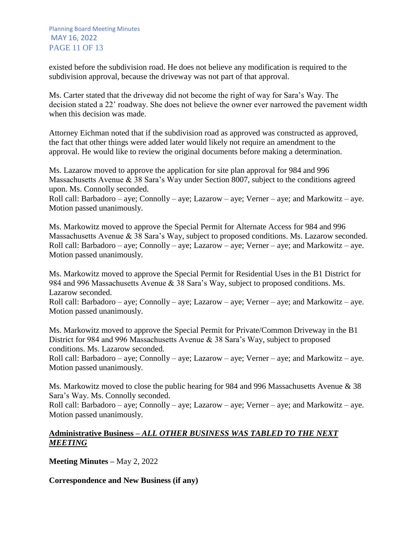existed before the subdivision road. He does not believe any modification is required to the subdivision approval, because the driveway was not part of that approval.

Ms. Carter stated that the driveway did not become the right of way for Sara's Way. The decision stated a 22' roadway. She does not believe the owner ever narrowed the pavement width when this decision was made.

Attorney Eichman noted that if the subdivision road as approved was constructed as approved, the fact that other things were added later would likely not require an amendment to the approval. He would like to review the original documents before making a determination.

Ms. Lazarow moved to approve the application for site plan approval for 984 and 996 Massachusetts Avenue & 38 Sara's Way under Section 8007, subject to the conditions agreed upon. Ms. Connolly seconded.

Roll call: Barbadoro – aye; Connolly – aye; Lazarow – aye; Verner – aye; and Markowitz – aye. Motion passed unanimously.

Ms. Markowitz moved to approve the Special Permit for Alternate Access for 984 and 996 Massachusetts Avenue & 38 Sara's Way, subject to proposed conditions. Ms. Lazarow seconded. Roll call: Barbadoro – aye; Connolly – aye; Lazarow – aye; Verner – aye; and Markowitz – aye. Motion passed unanimously.

Ms. Markowitz moved to approve the Special Permit for Residential Uses in the B1 District for 984 and 996 Massachusetts Avenue & 38 Sara's Way, subject to proposed conditions. Ms. Lazarow seconded.

Roll call: Barbadoro – aye; Connolly – aye; Lazarow – aye; Verner – aye; and Markowitz – aye. Motion passed unanimously.

Ms. Markowitz moved to approve the Special Permit for Private/Common Driveway in the B1 District for 984 and 996 Massachusetts Avenue & 38 Sara's Way, subject to proposed conditions. Ms. Lazarow seconded.

Roll call: Barbadoro – aye; Connolly – aye; Lazarow – aye; Verner – aye; and Markowitz – aye. Motion passed unanimously.

Ms. Markowitz moved to close the public hearing for 984 and 996 Massachusetts Avenue & 38 Sara's Way. Ms. Connolly seconded.

Roll call: Barbadoro – aye; Connolly – aye; Lazarow – aye; Verner – aye; and Markowitz – aye. Motion passed unanimously.

## **Administrative Business –** *ALL OTHER BUSINESS WAS TABLED TO THE NEXT MEETING*

**Meeting Minutes –** May 2, 2022

**Correspondence and New Business (if any)**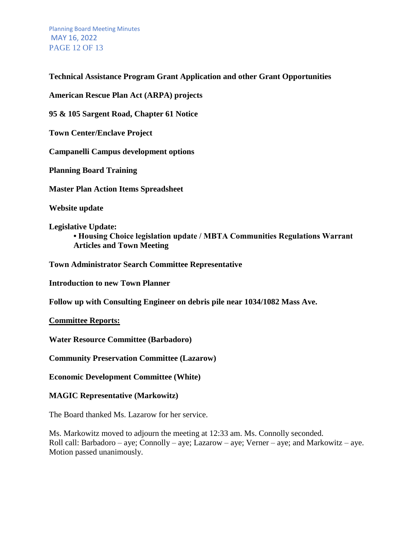Planning Board Meeting Minutes MAY 16, 2022 PAGE 12 OF 13

### **Technical Assistance Program Grant Application and other Grant Opportunities**

**American Rescue Plan Act (ARPA) projects**

**95 & 105 Sargent Road, Chapter 61 Notice**

**Town Center/Enclave Project**

**Campanelli Campus development options**

**Planning Board Training**

**Master Plan Action Items Spreadsheet**

**Website update**

**Legislative Update: • Housing Choice legislation update / MBTA Communities Regulations Warrant Articles and Town Meeting** 

**Town Administrator Search Committee Representative**

**Introduction to new Town Planner**

**Follow up with Consulting Engineer on debris pile near 1034/1082 Mass Ave.** 

**Committee Reports:**

**Water Resource Committee (Barbadoro)**

**Community Preservation Committee (Lazarow)** 

**Economic Development Committee (White)** 

#### **MAGIC Representative (Markowitz)**

The Board thanked Ms. Lazarow for her service.

Ms. Markowitz moved to adjourn the meeting at 12:33 am. Ms. Connolly seconded. Roll call: Barbadoro – aye; Connolly – aye; Lazarow – aye; Verner – aye; and Markowitz – aye. Motion passed unanimously.